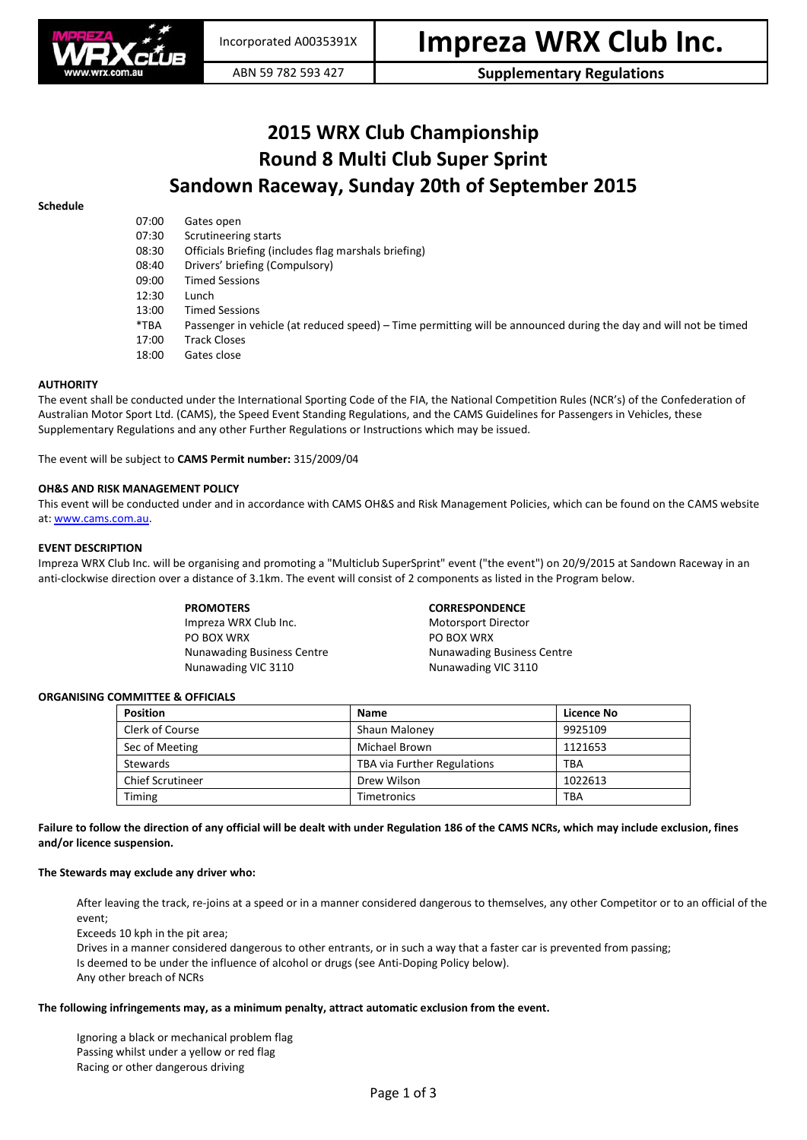

# **2015 WRX Club Championship Round 8 Multi Club Super Sprint Sandown Raceway, Sunday 20th of September 2015**

# **Schedule**

| 07:00<br>07:30 | Gates open<br>Scrutineering starts                                                                               |
|----------------|------------------------------------------------------------------------------------------------------------------|
| 08:30          | Officials Briefing (includes flag marshals briefing)                                                             |
| 08:40          | Drivers' briefing (Compulsory)                                                                                   |
| 09:00          | <b>Timed Sessions</b>                                                                                            |
| 12:30          | Lunch                                                                                                            |
| 13:00          | <b>Timed Sessions</b>                                                                                            |
| *TBA           | Passenger in vehicle (at reduced speed) – Time permitting will be announced during the day and will not be timed |
| 17:00          | <b>Track Closes</b>                                                                                              |
| 18:00          | Gates close                                                                                                      |

# **AUTHORITY**

The event shall be conducted under the International Sporting Code of the FIA, the National Competition Rules (NCR's) of the Confederation of Australian Motor Sport Ltd. (CAMS), the Speed Event Standing Regulations, and the CAMS Guidelines for Passengers in Vehicles, these Supplementary Regulations and any other Further Regulations or Instructions which may be issued.

The event will be subject to **CAMS Permit number:** 315/2009/04

# **OH&S AND RISK MANAGEMENT POLICY**

This event will be conducted under and in accordance with CAMS OH&S and Risk Management Policies, which can be found on the CAMS website at[: www.cams.com.au.](http://www.cams.com.au/)

### **EVENT DESCRIPTION**

Impreza WRX Club Inc. will be organising and promoting a "Multiclub SuperSprint" event ("the event") on 20/9/2015 at Sandown Raceway in an anti-clockwise direction over a distance of 3.1km. The event will consist of 2 components as listed in the Program below.

Impreza WRX Club Inc. Motorsport Director PO BOX WRX PO BOX WRX Nunawading VIC 3110 Nunawading VIC 3110

# **PROMOTERS CORRESPONDENCE**

Nunawading Business Centre **Nunawading Business Centre** 

# **ORGANISING COMMITTEE & OFFICIALS**

| <b>Position</b>         | <b>Name</b>                 | Licence No |
|-------------------------|-----------------------------|------------|
| Clerk of Course         | Shaun Maloney               | 9925109    |
| Sec of Meeting          | Michael Brown               | 1121653    |
| Stewards                | TBA via Further Regulations | TBA        |
| <b>Chief Scrutineer</b> | Drew Wilson                 | 1022613    |
| Timing                  | <b>Timetronics</b>          | <b>TBA</b> |

**Failure to follow the direction of any official will be dealt with under Regulation 186 of the CAMS NCRs, which may include exclusion, fines and/or licence suspension.**

#### **The Stewards may exclude any driver who:**

After leaving the track, re-joins at a speed or in a manner considered dangerous to themselves, any other Competitor or to an official of the event;

Exceeds 10 kph in the pit area;

Drives in a manner considered dangerous to other entrants, or in such a way that a faster car is prevented from passing; Is deemed to be under the influence of alcohol or drugs (see Anti-Doping Policy below). Any other breach of NCRs

#### **The following infringements may, as a minimum penalty, attract automatic exclusion from the event.**

Ignoring a black or mechanical problem flag Passing whilst under a yellow or red flag Racing or other dangerous driving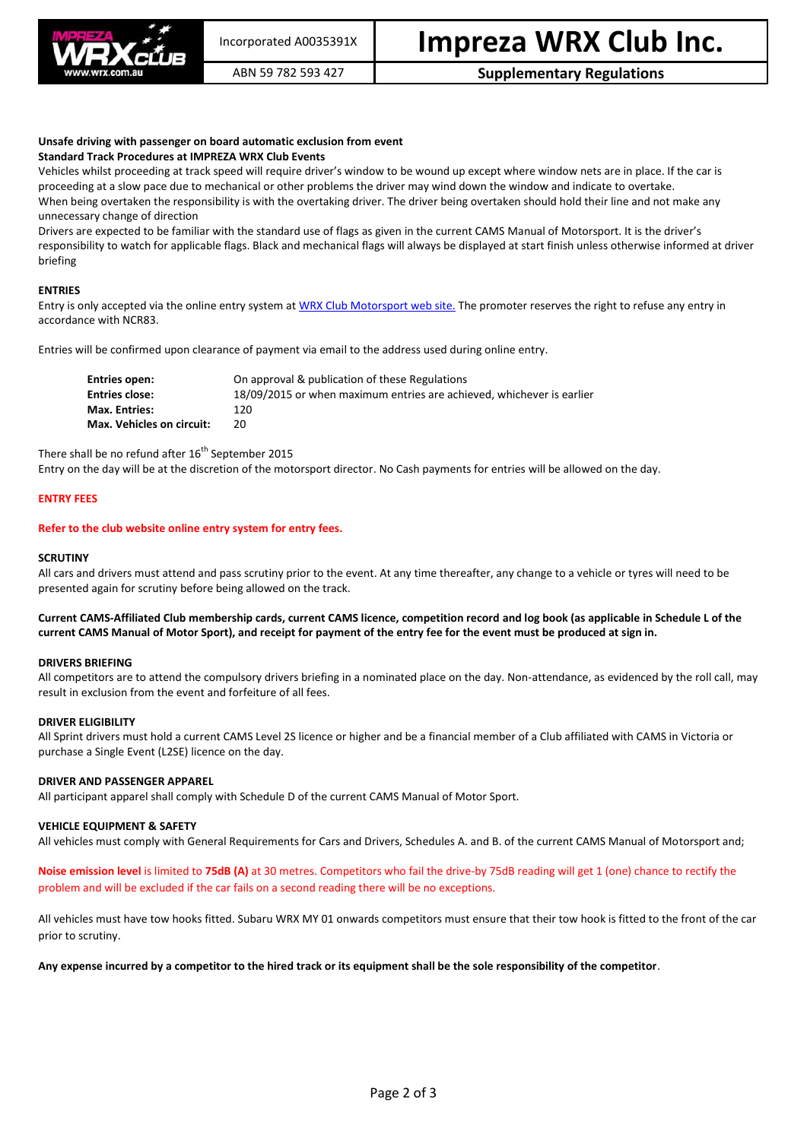

# ABN 59 782 593 427 **Supplementary Regulations**

#### **Unsafe driving with passenger on board automatic exclusion from event Standard Track Procedures at IMPREZA WRX Club Events**

Vehicles whilst proceeding at track speed will require driver's window to be wound up except where window nets are in place. If the car is proceeding at a slow pace due to mechanical or other problems the driver may wind down the window and indicate to overtake. When being overtaken the responsibility is with the overtaking driver. The driver being overtaken should hold their line and not make any unnecessary change of direction

Drivers are expected to be familiar with the standard use of flags as given in the current CAMS Manual of Motorsport. It is the driver's responsibility to watch for applicable flags. Black and mechanical flags will always be displayed at start finish unless otherwise informed at driver briefing

# **ENTRIES**

Entry is only accepted via the online entry system a[t WRX Club Motorsport web site.](http://www.wrx.com.au/motorsport) The promoter reserves the right to refuse any entry in accordance with NCR83.

Entries will be confirmed upon clearance of payment via email to the address used during online entry.

| Entries open:             | On approval & publication of these Regulations                        |
|---------------------------|-----------------------------------------------------------------------|
| <b>Entries close:</b>     | 18/09/2015 or when maximum entries are achieved, whichever is earlier |
| Max. Entries:             | 120.                                                                  |
| Max. Vehicles on circuit: | 20.                                                                   |

There shall be no refund after 16<sup>th</sup> September 2015

Entry on the day will be at the discretion of the motorsport director. No Cash payments for entries will be allowed on the day.

# **ENTRY FEES**

### **Refer to the club website online entry system for entry fees.**

### **SCRUTINY**

All cars and drivers must attend and pass scrutiny prior to the event. At any time thereafter, any change to a vehicle or tyres will need to be presented again for scrutiny before being allowed on the track.

# **Current CAMS-Affiliated Club membership cards, current CAMS licence, competition record and log book (as applicable in Schedule L of the current CAMS Manual of Motor Sport), and receipt for payment of the entry fee for the event must be produced at sign in.**

#### **DRIVERS BRIEFING**

All competitors are to attend the compulsory drivers briefing in a nominated place on the day. Non-attendance, as evidenced by the roll call, may result in exclusion from the event and forfeiture of all fees.

#### **DRIVER ELIGIBILITY**

All Sprint drivers must hold a current CAMS Level 2S licence or higher and be a financial member of a Club affiliated with CAMS in Victoria or purchase a Single Event (L2SE) licence on the day.

#### **DRIVER AND PASSENGER APPAREL**

All participant apparel shall comply with Schedule D of the current CAMS Manual of Motor Sport.

#### **VEHICLE EQUIPMENT & SAFETY**

All vehicles must comply with General Requirements for Cars and Drivers, Schedules A. and B. of the current CAMS Manual of Motorsport and;

**Noise emission level** is limited to **75dB (A)** at 30 metres. Competitors who fail the drive-by 75dB reading will get 1 (one) chance to rectify the problem and will be excluded if the car fails on a second reading there will be no exceptions.

All vehicles must have tow hooks fitted. Subaru WRX MY 01 onwards competitors must ensure that their tow hook is fitted to the front of the car prior to scrutiny.

#### **Any expense incurred by a competitor to the hired track or its equipment shall be the sole responsibility of the competitor**.